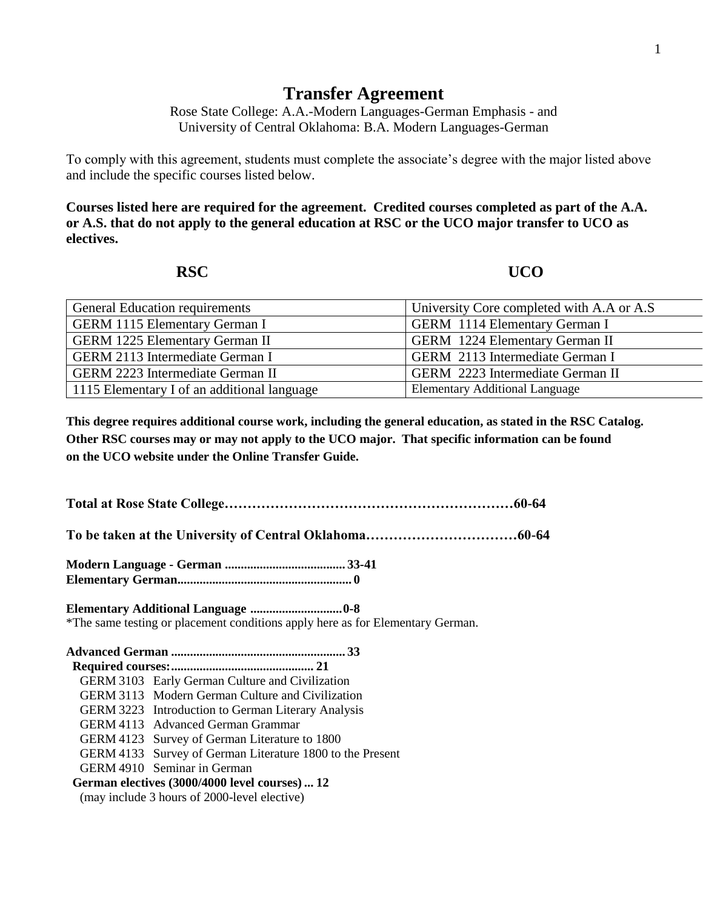## **Transfer Agreement**

Rose State College: A.A.-Modern Languages-German Emphasis - and University of Central Oklahoma: B.A. Modern Languages-German

To comply with this agreement, students must complete the associate's degree with the major listed above and include the specific courses listed below.

**Courses listed here are required for the agreement. Credited courses completed as part of the A.A. or A.S. that do not apply to the general education at RSC or the UCO major transfer to UCO as electives.**

**RSC UCO** 

| <b>General Education requirements</b>       | University Core completed with A.A or A.S |
|---------------------------------------------|-------------------------------------------|
| <b>GERM 1115 Elementary German I</b>        | <b>GERM</b> 1114 Elementary German I      |
| <b>GERM 1225 Elementary German II</b>       | <b>GERM</b> 1224 Elementary German II     |
| <b>GERM 2113 Intermediate German I</b>      | GERM 2113 Intermediate German I           |
| <b>GERM 2223 Intermediate German II</b>     | GERM 2223 Intermediate German II          |
| 1115 Elementary I of an additional language | <b>Elementary Additional Language</b>     |

**This degree requires additional course work, including the general education, as stated in the RSC Catalog. Other RSC courses may or may not apply to the UCO major. That specific information can be found on the UCO website under the Online Transfer Guide.**

**Total at Rose State College………………………………………………………60-64**

**To be taken at the University of Central Oklahoma……………………………60-64**

**Modern Language - German ...................................... 33-41 Elementary German....................................................... 0**

**Elementary Additional Language .............................0-8** \*The same testing or placement conditions apply here as for Elementary German.

**Advanced German ....................................................... 33 Required courses:............................................. 21** GERM 3103 Early German Culture and Civilization GERM 3113 Modern German Culture and Civilization GERM 3223 Introduction to German Literary Analysis GERM 4113 Advanced German Grammar GERM 4123 Survey of German Literature to 1800 GERM 4133 Survey of German Literature 1800 to the Present GERM 4910 Seminar in German  **German electives (3000/4000 level courses) ... 12** (may include 3 hours of 2000-level elective)